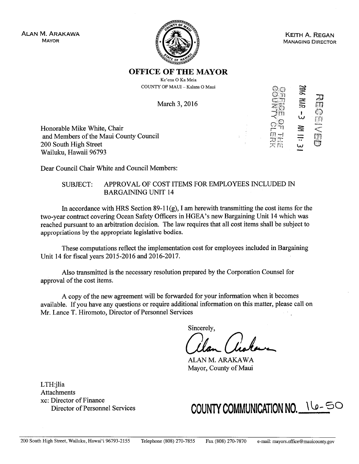ALAN M. ARAKAwA MAYOR



KEITH A. REGAN MANAGING DIRECTOR

'.4-,

 $\Xi$ 

四

Ś

w $\frac{1}{2}$   $\frac{1}{2}$ 

C w +

~

 $\frac{1}{\Pi}$ 

r~.

# OFFICE OF THE MAYOR

Ke'ena <sup>0</sup> Ka Meia COUNTY OF MAUI -Kalana <sup>0</sup> Maui

March 3, <sup>2016</sup>

Honorable Mike White, Chair and Members of the Maui County Council 200 South High Street Wailuku, Hawaii 96793

Dear Council Chair White and Council Members:

### SUBJECT:: APPROVAL OF COST ITEMS FOR EMPLOYEES INCLUDED IN:<br>RABGABING UNIT 14 BARGAIMNG UNIT <sup>14</sup>

In accordance with HRS Section 89-11(g), I am herewith transmitting the cost items for the<br>recortract covaring Ocean Sefety Officers in HGEA's new Bergaining Unit 14 which was two-year contract covering Ocean Safety Officers in HGEA's new Bargaining Unit <sup>14</sup> which was reached pursuant to an arbitration decision. The law requires that all cost items shall be subject to<br>survey sittings butle compariate locialative hadies appropriations by the appropriate legislative bodies.

These computations reflect the implementation cost for employees included in Bargaining Unit 14 for fiscal years <sup>20</sup> 15-2016 and 2016-2017.

Also transmitted is the necessary resolution prepared by the Corporation Counsel for approval of the cost items.

A copy of the new agreement will be forwarded for your information when it becomes available. If you have any questions or require additional information on this matter, please call on Mr. Lance T. Hiromoto, Director of Personnel Services

Sincerely,

ALAN M. ARAKAWA Mayor, County of Maui

LTH:jlia Attachments xc: Director of FinanceDirector of Personnel Services

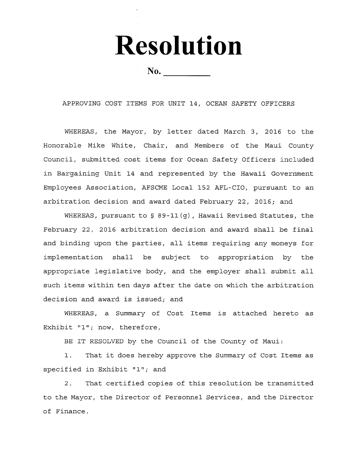Resolution

 $\mathbf{No.}$ 

APPROVING COST ITEMS FOR UNIT 14, OCEAN SAFETY OFFICERS

WHEREAS, the Mayor, by letter dated March 3, <sup>2016</sup> to the Honorable Mike White, Chair, and Members of the Maui County Council, submitted cost items for Ocean Safety Officers included in Bargaining Unit <sup>14</sup> and represented by the Hawaii Government Employees Association, AFSCME Local <sup>152</sup> AFL-CIO, pursuant to an arbitration decision and award dated February 22, 2016; and

WHEREAS, pursuant to § 89-11(g), Hawaii Revised Statutes, the February 22, <sup>2016</sup> arbitration decision and award shall be final and binding upon the parties, all items requiring any moneys for implementation shall be subject to appropriation by the appropriate legislative body, and the employer shall submit all such items within ten days after the date on which the arbitration decision and award is issued; and

WHEREAS, <sup>a</sup> Summary of Cost Items is attached hereto as Exhibit "1"; now, therefore,

BE IT RESOLVED by the Council of the County of Maui:

1. That it does hereby approve the Summary of Cost Items as specified in Exhibit "1"; and

2.. That certified copies of this resolution be transmitted to the Mayor, the Director of Personnel Services, and the Director of Finance.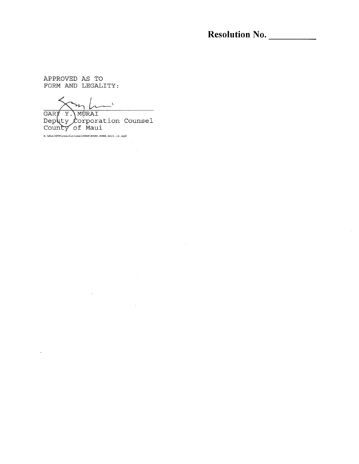Resolution No.

APPROVED AS TOFORM AND LEGALITY

 $\mathcal{L}_{\text{max}}$ 

GARY Y.\MURAI Deputy *C*orporation Counsel<br>County of Maui

 $\sim$   $\sim$ 

S:\ALL\GYM\resolutions\HGEA\RESO.HGEA.Unit.14.wpd

 $\bar{z}$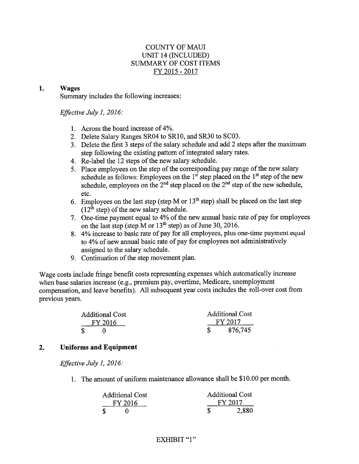### COUNTY OF MAUI UNIT <sup>14</sup> (INCLUDED) SUMMARY OF COST ITEMS FY <sup>2015</sup> - <sup>2017</sup>

#### 1.Wages

Summary includes the following increases:

Effective July 1, 2016:

- 1. Across the board increase of 4%
- 2. Delete Salary Ranges SR04 to SR10, and SR30 to SC03.<br>2. Delate the first 3 stans of the selecy sebedule and add 2 s
- 3. Delete the first <sup>3</sup> steps of the salary schedule and add <sup>2</sup> steps after the maximumstep following the existing pattern of integrated salary rates.
- 4. Re-label the 12 steps of the new salary schedule.
- 5. Place employees on the step of the corresponding pay range of the new Place employees on the step of the corresponding pay range of the new salary<br>schedule as follows: Employees on the  $1<sup>st</sup>$  step placed on the  $1<sup>st</sup>$  step of the new schedule, employees on the 2<sup>nd</sup> step placed on the 2<sup>nd</sup> step of the new schedule, etc.
- 6. Employees on the last step (step M or  $13^{th}$  step) shall be placed on the last step (12<sup>th</sup> step) of the new salary schedule  $\frac{1}{2}$  step) of the new salary schedule.
- 7. One-time payment equal to 4% of the new annual basic rate of pay for employees<br>on the last step (step M or  $13<sup>th</sup>$  step) as of June 30, 2016 on the last step (step M or  $13^{\text{th}}$  step) as of June 30, 2016.<br>424 increase to basic rate of pay for all employees, plus
- 8.  $4\%$  increase to basic rate of pay for all employees, plus one-time payment equal<br>to  $4\%$  of new annual basic rate of pay for employees not administratively to 4% of new annual basic rate of pay for employees not administratively<br>assigned to the salary schedule assigned to the salary schedule.
- 9. Continuation of the step movement plan.

Wage costs include fringe benefit costs representing expenses which automatically increase when base salaries increase (e.g., premium pay, overtime, Medicare, unemployment<br>comparation, and leave banefits). All subsequent year costs includes the roll-over compensation, and leave benefits). All subsequent year costs includes the roll-over cost fromprevious years.

| <b>Additional Cost</b> |         | <b>Additional Cost</b> |         |
|------------------------|---------|------------------------|---------|
|                        | FY 2016 |                        | FY 2017 |
| S.                     |         |                        | 876,745 |

### 2.Uniforms and Equipment

Effective July 1, 2016:

1. The amount of uniform maintenance allowance shall be \$10.00 per month.

| <b>Additional Cost</b> |  | <b>Additional Cost</b> |       |
|------------------------|--|------------------------|-------|
| FY 2016                |  | FY 2017                |       |
|                        |  |                        | 2,880 |

## EXHIBIT "1"